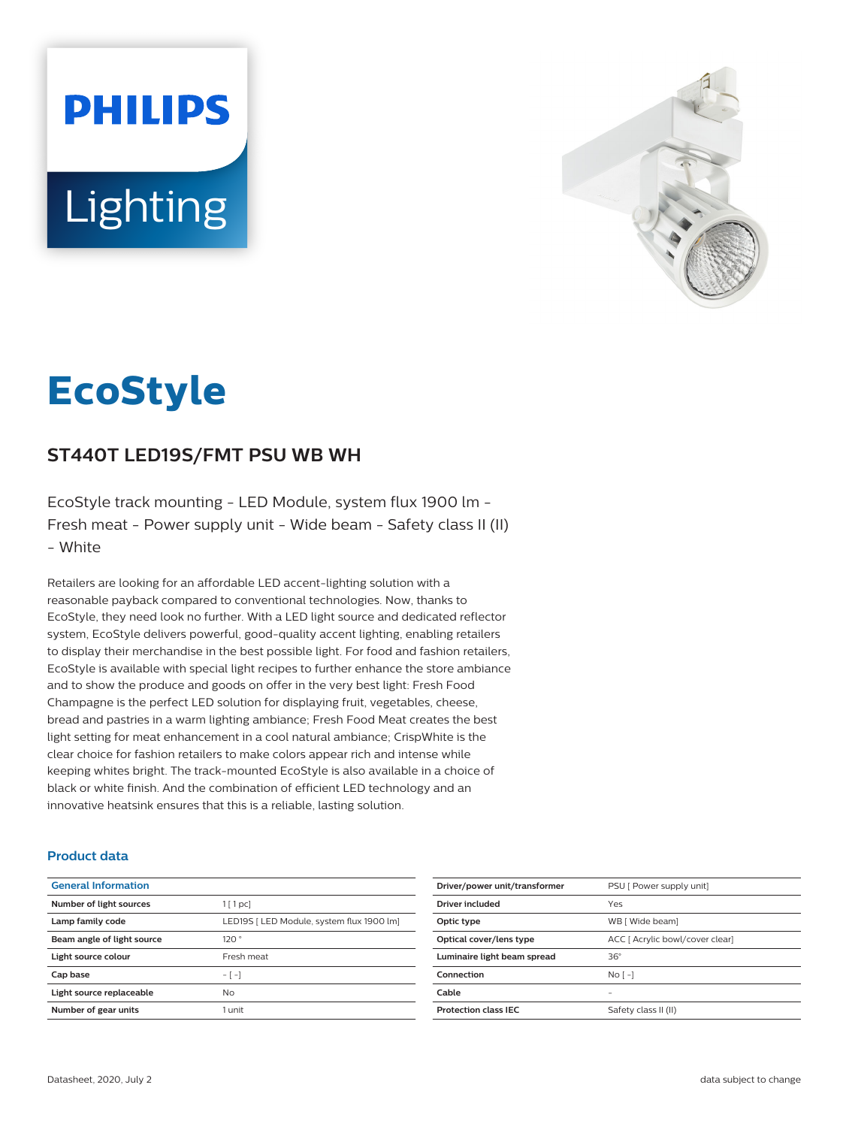# **PHILIPS Lighting**



# **EcoStyle**

# **ST440T LED19S/FMT PSU WB WH**

EcoStyle track mounting - LED Module, system flux 1900 lm - Fresh meat - Power supply unit - Wide beam - Safety class II (II) - White

Retailers are looking for an affordable LED accent-lighting solution with a reasonable payback compared to conventional technologies. Now, thanks to EcoStyle, they need look no further. With a LED light source and dedicated reflector system, EcoStyle delivers powerful, good-quality accent lighting, enabling retailers to display their merchandise in the best possible light. For food and fashion retailers, EcoStyle is available with special light recipes to further enhance the store ambiance and to show the produce and goods on offer in the very best light: Fresh Food Champagne is the perfect LED solution for displaying fruit, vegetables, cheese, bread and pastries in a warm lighting ambiance; Fresh Food Meat creates the best light setting for meat enhancement in a cool natural ambiance; CrispWhite is the clear choice for fashion retailers to make colors appear rich and intense while keeping whites bright. The track-mounted EcoStyle is also available in a choice of black or white finish. And the combination of efficient LED technology and an innovative heatsink ensures that this is a reliable, lasting solution.

#### **Product data**

| <b>General Information</b> |                                           |
|----------------------------|-------------------------------------------|
| Number of light sources    | 1[1pc]                                    |
| Lamp family code           | LED19S   LED Module, system flux 1900 lm] |
| Beam angle of light source | 120°                                      |
| Light source colour        | Fresh meat                                |
| Cap base                   | $-[-]$                                    |
| Light source replaceable   | No.                                       |
| Number of gear units       | 1 unit                                    |

| Driver/power unit/transformer | PSU [ Power supply unit]        |
|-------------------------------|---------------------------------|
| Driver included               | Yes                             |
| Optic type                    | WB [ Wide beam]                 |
| Optical cover/lens type       | ACC [ Acrylic bowl/cover clear] |
| Luminaire light beam spread   | $36^\circ$                      |
| Connection                    | $No$ [ -1                       |
| Cable                         |                                 |
| <b>Protection class IFC</b>   | Safety class II (II)            |
|                               |                                 |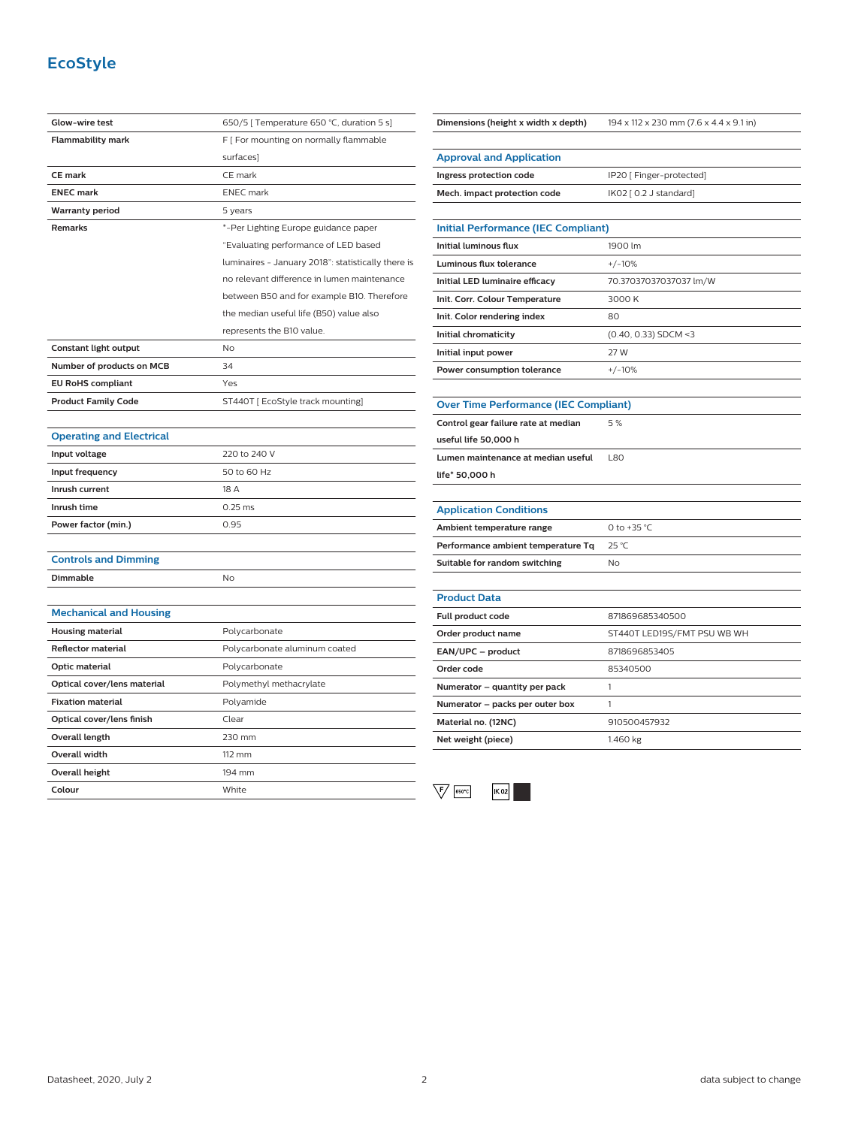## **EcoStyle**

| Glow-wire test                  | 650/5 [ Temperature 650 °C, duration 5 s]          |
|---------------------------------|----------------------------------------------------|
| <b>Flammability mark</b>        | F [ For mounting on normally flammable             |
|                                 | surfaces                                           |
| <b>CE mark</b>                  | CE mark                                            |
| <b>ENEC mark</b>                | <b>ENEC</b> mark                                   |
| <b>Warranty period</b>          | 5 years                                            |
| <b>Remarks</b>                  | *-Per Lighting Europe guidance paper               |
|                                 | "Evaluating performance of LED based               |
|                                 | luminaires - January 2018": statistically there is |
|                                 | no relevant difference in lumen maintenance        |
|                                 | between B50 and for example B10. Therefore         |
|                                 | the median useful life (B50) value also            |
|                                 | represents the B10 value.                          |
| Constant light output           | No                                                 |
| Number of products on MCB       | 34                                                 |
| <b>EU RoHS compliant</b>        | Yes                                                |
| <b>Product Family Code</b>      | ST440T [EcoStyle track mounting]                   |
|                                 |                                                    |
| <b>Operating and Electrical</b> |                                                    |
| Input voltage                   | 220 to 240 V                                       |
| Input frequency                 | 50 to 60 Hz                                        |
| Inrush current                  | 18 A                                               |
| Inrush time                     | $0.25$ ms                                          |
| Power factor (min.)             | 0.95                                               |
|                                 |                                                    |
| <b>Controls and Dimming</b>     |                                                    |
| Dimmable                        | No                                                 |
|                                 |                                                    |
| <b>Mechanical and Housing</b>   |                                                    |
| <b>Housing material</b>         | Polycarbonate                                      |
| <b>Reflector material</b>       | Polycarbonate aluminum coated                      |
| Optic material                  | Polycarbonate                                      |
| Optical cover/lens material     | Polymethyl methacrylate                            |
| <b>Fixation material</b>        | Polyamide                                          |
| Optical cover/lens finish       | Clear                                              |
| <b>Overall length</b>           | 230 mm                                             |
| <b>Overall width</b>            | $112 \text{ mm}$                                   |
| Overall height                  | 194 mm                                             |
| Colour                          | White                                              |

| Dimensions (height x width x depth)          | 194 x 112 x 230 mm (7.6 x 4.4 x 9.1 in) |
|----------------------------------------------|-----------------------------------------|
|                                              |                                         |
| <b>Approval and Application</b>              |                                         |
| Ingress protection code                      | IP20 [ Finger-protected]                |
| Mech. impact protection code                 | IK02 [ 0.2 J standard]                  |
|                                              |                                         |
| <b>Initial Performance (IEC Compliant)</b>   |                                         |
| <b>Initial luminous flux</b>                 | 1900 lm                                 |
| Luminous flux tolerance                      | $+/-10%$                                |
| Initial LED luminaire efficacy               | 70.37037037037037 lm/W                  |
| Init. Corr. Colour Temperature               | 3000 K                                  |
| Init. Color rendering index                  | 80                                      |
| Initial chromaticity                         | $(0.40, 0.33)$ SDCM <3                  |
| Initial input power                          | 27 W                                    |
| Power consumption tolerance                  | $+/-10%$                                |
|                                              |                                         |
| <b>Over Time Performance (IEC Compliant)</b> |                                         |
| Control gear failure rate at median          | 5 %                                     |
| useful life 50,000 h                         |                                         |
| Lumen maintenance at median useful           | <b>L80</b>                              |
| life* 50,000 h                               |                                         |
|                                              |                                         |
| <b>Application Conditions</b>                |                                         |
| Ambient temperature range                    | 0 to +35 °C                             |
| Performance ambient temperature Tq           | 25 °C                                   |
| Suitable for random switching                | No                                      |
|                                              |                                         |
| <b>Product Data</b>                          |                                         |
| Full product code                            | 871869685340500                         |
| Order product name                           | ST440T LED19S/FMT PSU WB WH             |
| EAN/UPC - product                            | 8718696853405                           |
| Order code                                   | 85340500                                |
| Numerator - quantity per pack                | 1                                       |
| Numerator - packs per outer box              | 1                                       |
| Material no. (12NC)                          | 910500457932                            |
| Net weight (piece)                           | 1.460 kg                                |

 $\sqrt{\mathsf{F}\phantom{\mathsf{F}}\mathsf{F}}$  [650°C]  $K$  02